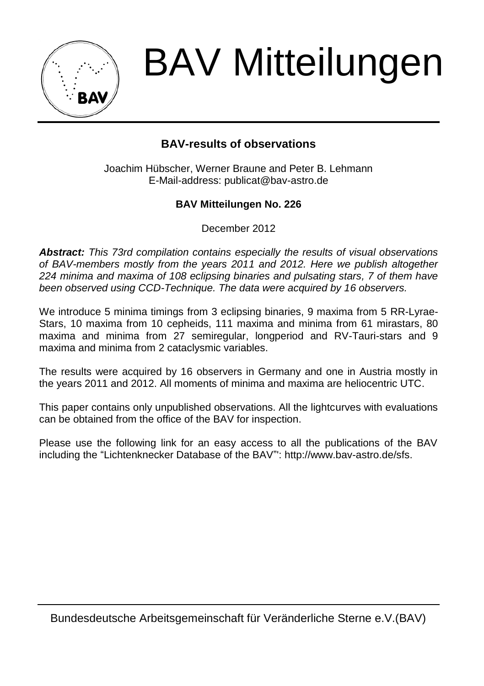

BAV Mitteilungen

# **BAV-results of observations**

Joachim Hübscher, Werner Braune and Peter B. Lehmann E-Mail-address: publicat@bav-astro.de

## **BAV Mitteilungen No. 226**

December 2012

*Abstract: This 73rd compilation contains especially the results of visual observations of BAV-members mostly from the years 2011 and 2012. Here we publish altogether 224 minima and maxima of 108 eclipsing binaries and pulsating stars, 7 of them have been observed using CCD-Technique. The data were acquired by 16 observers.*

We introduce 5 minima timings from 3 eclipsing binaries, 9 maxima from 5 RR-Lyrae-Stars, 10 maxima from 10 cepheids, 111 maxima and minima from 61 mirastars, 80 maxima and minima from 27 semiregular, longperiod and RV-Tauri-stars and 9 maxima and minima from 2 cataclysmic variables.

The results were acquired by 16 observers in Germany and one in Austria mostly in the years 2011 and 2012. All moments of minima and maxima are heliocentric UTC.

This paper contains only unpublished observations. All the lightcurves with evaluations can be obtained from the office of the BAV for inspection.

Please use the following link for an easy access to all the publications of the BAV including the "Lichtenknecker Database of the BAV"': http://www.bav-astro.de/sfs.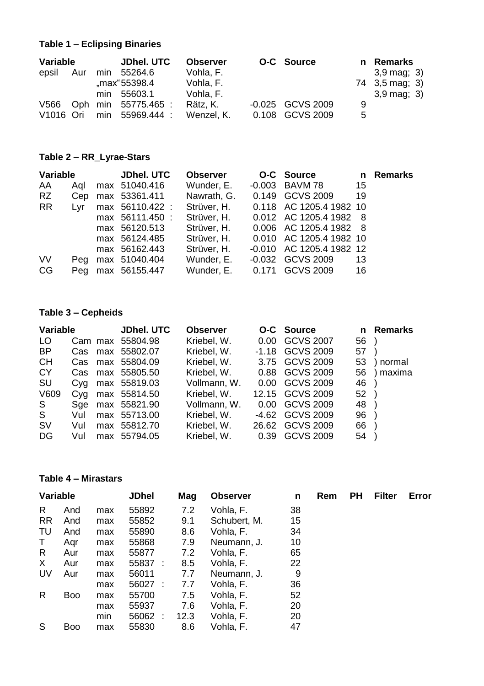## **Table 1 – Eclipsing Binaries**

| Variable              |  | JDhel, UTC | <b>Observer</b>     |            | O-C Source |                  | n Remarks |                           |
|-----------------------|--|------------|---------------------|------------|------------|------------------|-----------|---------------------------|
| epsil                 |  |            | Aur min 55264.6     | Vohla, F.  |            |                  |           | $3,9 \text{ mag}$ ; 3)    |
|                       |  |            | max"55398.4         | Vohla, F.  |            |                  |           | 74 3,5 mag; 3)            |
|                       |  |            | min 55603.1         | Vohla, F.  |            |                  |           | $3.9 \,\mathrm{mag}$ ; 3) |
| V566                  |  |            | Oph min 55775.465 : | Rätz. K.   |            | -0.025 GCVS 2009 | 9         |                           |
| V <sub>1016</sub> Ori |  |            | min 55969.444 :     | Wenzel, K. |            | 0.108 GCVS 2009  | 5         |                           |

## **Table 2 – RR\_Lyrae-Stars**

| Variable  |     | JDhel, UTC                    | Observer    | O-C Source               |    | n Remarks |
|-----------|-----|-------------------------------|-------------|--------------------------|----|-----------|
| AA        |     | Agl max 51040.416             | Wunder. E.  | -0.003 BAVM 78           | 15 |           |
| RZ –      |     | Cep max 53361.411 Nawrath, G. |             | 0.149 GCVS 2009          | 19 |           |
| RR.       | Lvr | max 56110.422 :               | Strüver. H. | 0.118 AC 1205.4 1982 10  |    |           |
|           |     | max 56111.450 :               | Strüver. H. | 0.012 AC 1205.4 1982 8   |    |           |
|           |     | max 56120.513                 | Strüver. H. | 0.006 AC 1205.4 1982 8   |    |           |
|           |     | max 56124.485                 | Strüver. H. | 0.010 AC 1205.4 1982 10  |    |           |
|           |     | max 56162.443                 | Strüver, H. | -0.010 AC 1205.4 1982 12 |    |           |
| <b>VV</b> |     | Peg max 51040.404             | Wunder, E.  | -0.032 GCVS 2009         | 13 |           |
| CG.       |     | Peg max 56155.447             | Wunder, E.  | 0.171 GCVS 2009          | 16 |           |
|           |     |                               |             |                          |    |           |

## **Table 3 – Cepheids**

| Variable  |     | <b>JDhel. UTC</b> | <b>Observer</b>  |              | O-C Source | n                 | Remarks |          |
|-----------|-----|-------------------|------------------|--------------|------------|-------------------|---------|----------|
| LO        |     |                   | Cam max 55804.98 | Kriebel, W.  | 0.00       | GCVS 2007         | 56      |          |
| <b>BP</b> | Cas |                   | max 55802.07     | Kriebel, W.  |            | $-1.18$ GCVS 2009 | 57      |          |
| CН        | Cas |                   | max 55804.09     | Kriebel, W.  |            | 3.75 GCVS 2009    | 53      | normal   |
| <b>CY</b> | Cas |                   | max 55805.50     | Kriebel, W.  | 0.88       | GCVS 2009         | 56      | ) maxima |
| SU        | Cyg |                   | max 55819.03     | Vollmann, W. | 0.00       | GCVS 2009         | 46      |          |
| V609      | Cva |                   | max 55814.50     | Kriebel, W.  |            | 12.15 GCVS 2009   | 52      |          |
| S.        | Sae |                   | max 55821.90     | Vollmann, W. | 0.00       | GCVS 2009         | 48      |          |
| S         | Vul |                   | max 55713.00     | Kriebel, W.  |            | -4.62 GCVS 2009   | 96      |          |
| sv        | Vul |                   | max 55812.70     | Kriebel, W.  | 26.62      | GCVS 2009         | 66      |          |
| DG        | Vul |                   | max 55794.05     | Kriebel, W.  | 0.39       | GCVS 2009         | 54      |          |

### **Table 4 – Mirastars**

| Variable  |            | <b>JDhel</b> | Mag                     | <b>Observer</b> | n            | Rem | <b>PH</b> | <b>Filter</b> | Error |  |
|-----------|------------|--------------|-------------------------|-----------------|--------------|-----|-----------|---------------|-------|--|
| R         | And        | max          | 55892                   | 7.2             | Vohla, F.    | 38  |           |               |       |  |
| <b>RR</b> | And        | max          | 55852                   | 9.1             | Schubert, M. | 15  |           |               |       |  |
| TU        | And        | max          | 55890                   | 8.6             | Vohla, F.    | 34  |           |               |       |  |
| T.        | Agr        | max          | 55868                   | 7.9             | Neumann, J.  | 10  |           |               |       |  |
| R         | Aur        | max          | 55877                   | 7.2             | Vohla. F.    | 65  |           |               |       |  |
| X         | Aur        | max          | 55837<br>$\cdot$ :      | 8.5             | Vohla, F.    | 22  |           |               |       |  |
| UV        | Aur        | max          | 56011                   | 7.7             | Neumann, J.  | 9   |           |               |       |  |
|           |            | max          | 56027<br>$\cdot$ :      | 7.7             | Vohla, F.    | 36  |           |               |       |  |
| R         | <b>Boo</b> | max          | 55700                   | 7.5             | Vohla, F.    | 52  |           |               |       |  |
|           |            | max          | 55937                   | 7.6             | Vohla, F.    | 20  |           |               |       |  |
|           |            | min          | 56062<br>$\sim$ 10 $\,$ | 12.3            | Vohla, F.    | 20  |           |               |       |  |
| S         | <b>Boo</b> | max          | 55830                   | 8.6             | Vohla, F.    | 47  |           |               |       |  |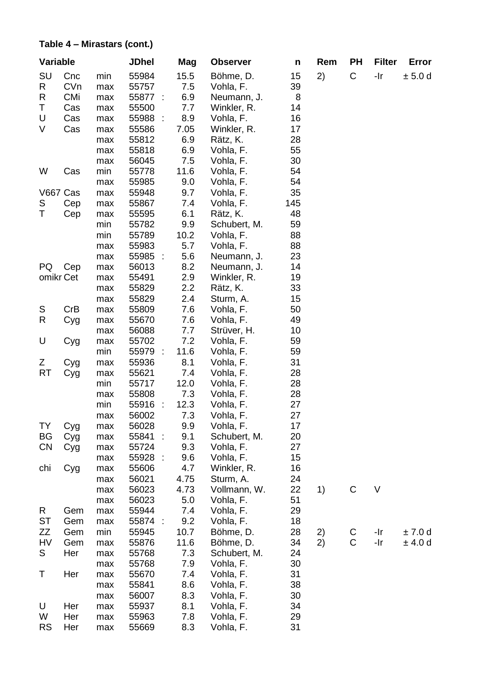#### **Table 4 – Mirastars (cont.)**

| Variable  |     |     | JDhel                             | Mag  | <b>Observer</b> | n   | Rem | PH | <b>Filter</b> | Error   |
|-----------|-----|-----|-----------------------------------|------|-----------------|-----|-----|----|---------------|---------|
| SU        | Cnc | min | 55984                             | 15.5 | Böhme, D.       | 15  | 2)  | C  | -Ir           | ± 5.0d  |
| R         | CVn | max | 55757                             | 7.5  | Vohla, F.       | 39  |     |    |               |         |
| R         | CMi | max | 55877<br>$\overline{\phantom{a}}$ | 6.9  | Neumann, J.     | 8   |     |    |               |         |
| Т         | Cas | max | 55500                             | 7.7  | Winkler, R.     | 14  |     |    |               |         |
| U         | Cas | max | 55988<br>$\cdot$                  | 8.9  | Vohla, F.       | 16  |     |    |               |         |
| ٧         | Cas | max | 55586                             | 7.05 | Winkler, R.     | 17  |     |    |               |         |
|           |     | max | 55812                             | 6.9  | Rätz, K.        | 28  |     |    |               |         |
|           |     | max | 55818                             | 6.9  | Vohla, F.       | 55  |     |    |               |         |
|           |     | max | 56045                             | 7.5  | Vohla, F.       | 30  |     |    |               |         |
| W         | Cas | min | 55778                             | 11.6 | Vohla, F.       | 54  |     |    |               |         |
|           |     | max | 55985                             | 9.0  | Vohla, F.       | 54  |     |    |               |         |
| V667 Cas  |     | max | 55948                             | 9.7  | Vohla, F.       | 35  |     |    |               |         |
| S         | Cep | max | 55867                             | 7.4  | Vohla, F.       | 145 |     |    |               |         |
| T         | Cep | max | 55595                             | 6.1  | Rätz, K.        | 48  |     |    |               |         |
|           |     | min | 55782                             | 9.9  | Schubert, M.    | 59  |     |    |               |         |
|           |     | min | 55789                             | 10.2 | Vohla, F.       | 88  |     |    |               |         |
|           |     | max | 55983                             | 5.7  | Vohla, F.       | 88  |     |    |               |         |
|           |     | max | 55985<br>$\sim$                   | 5.6  | Neumann, J.     | 23  |     |    |               |         |
| РQ        | Cep | max | 56013                             | 8.2  | Neumann, J.     | 14  |     |    |               |         |
| omikr Cet |     | max | 55491                             | 2.9  | Winkler, R.     | 19  |     |    |               |         |
|           |     | max | 55829                             | 2.2  | Rätz, K.        | 33  |     |    |               |         |
|           |     | max | 55829                             | 2.4  | Sturm, A.       | 15  |     |    |               |         |
| S         | CrB | max | 55809                             | 7.6  | Vohla, F.       | 50  |     |    |               |         |
| R         | Cyg | max | 55670                             | 7.6  | Vohla, F.       | 49  |     |    |               |         |
|           |     | max | 56088                             | 7.7  | Strüver, H.     | 10  |     |    |               |         |
| U         | Cyg | max | 55702                             | 7.2  | Vohla, F.       | 59  |     |    |               |         |
|           |     | min | 55979<br>$\ddot{\phantom{a}}$     | 11.6 | Vohla, F.       | 59  |     |    |               |         |
| Ζ         | Cyg | max | 55936                             | 8.1  | Vohla, F.       | 31  |     |    |               |         |
| RT        | Cyg | max | 55621                             | 7.4  | Vohla, F.       | 28  |     |    |               |         |
|           |     | min | 55717                             | 12.0 | Vohla, F.       | 28  |     |    |               |         |
|           |     | max | 55808                             | 7.3  | Vohla, F.       | 28  |     |    |               |         |
|           |     | min | 55916<br>$\ddot{\phantom{a}}$     | 12.3 | Vohla, F.       | 27  |     |    |               |         |
|           |     | max | 56002                             | 7.3  | Vohla, F.       | 27  |     |    |               |         |
| TY        | Cyg | max | 56028                             | 9.9  | Vohla, F.       | 17  |     |    |               |         |
| BG        | Cyg | max | 55841<br>÷                        | 9.1  | Schubert, M.    | 20  |     |    |               |         |
| CΝ        | Cyg | max | 55724                             | 9.3  | Vohla, F.       | 27  |     |    |               |         |
|           |     | max | 55928<br>$\sim$                   | 9.6  | Vohla, F.       | 15  |     |    |               |         |
| chi       | Cyg | max | 55606                             | 4.7  | Winkler, R.     | 16  |     |    |               |         |
|           |     | max | 56021                             | 4.75 | Sturm, A.       | 24  |     |    |               |         |
|           |     | max | 56023                             | 4.73 | Vollmann, W.    | 22  | 1)  | С  | V             |         |
|           |     | max | 56023                             | 5.0  | Vohla, F.       | 51  |     |    |               |         |
| R         | Gem | max | 55944                             | 7.4  | Vohla, F.       | 29  |     |    |               |         |
| SТ        | Gem | max | 55874<br>÷                        | 9.2  | Vohla, F.       | 18  |     |    |               |         |
| ΖZ        | Gem | min | 55945                             | 10.7 | Böhme, D.       | 28  | 2)  | С  | -Ir           | ±7.0d   |
| HV        | Gem | max | 55876                             | 11.6 | Böhme, D.       | 34  | 2)  | С  | -Ir           | ± 4.0 d |
| S         | Her | max | 55768                             | 7.3  | Schubert, M.    | 24  |     |    |               |         |
|           |     | max | 55768                             | 7.9  | Vohla, F.       | 30  |     |    |               |         |
| Τ         | Her | max | 55670                             | 7.4  | Vohla, F.       | 31  |     |    |               |         |
|           |     | max | 55841                             | 8.6  | Vohla, F.       | 38  |     |    |               |         |
|           |     | max | 56007                             | 8.3  | Vohla, F.       | 30  |     |    |               |         |
| U         | Her | max | 55937                             | 8.1  | Vohla, F.       | 34  |     |    |               |         |
| W         | Her | max | 55963                             | 7.8  | Vohla, F.       | 29  |     |    |               |         |
| <b>RS</b> | Her | max | 55669                             | 8.3  | Vohla, F.       | 31  |     |    |               |         |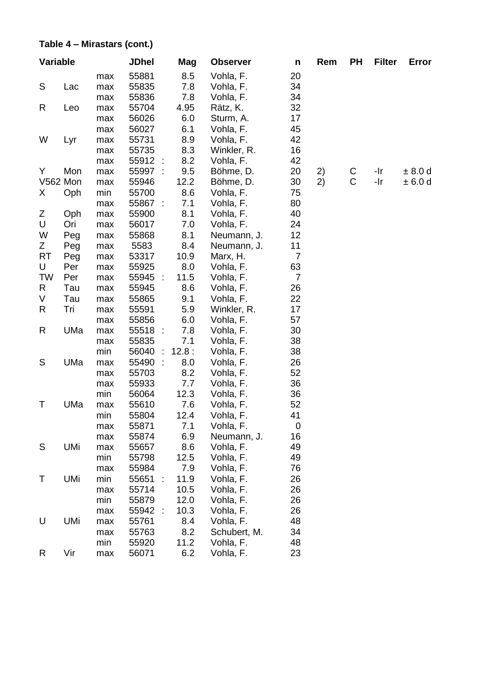#### **Table 4 – Mirastars (cont.)**

| Variable |     |            | <b>JDhel</b>                  | Mag         | <b>Observer</b>        | n              | Rem | PН | <b>Filter</b> | Error   |
|----------|-----|------------|-------------------------------|-------------|------------------------|----------------|-----|----|---------------|---------|
|          |     | max        | 55881                         | 8.5         | Vohla, F.              | 20             |     |    |               |         |
| S        | Lac | max        | 55835                         | 7.8         | Vohla, F.              | 34             |     |    |               |         |
|          |     | max        | 55836                         | 7.8         | Vohla, F.              | 34             |     |    |               |         |
| R        | Leo | max        | 55704                         | 4.95        | Rätz, K.               | 32             |     |    |               |         |
|          |     | max        | 56026                         | 6.0         | Sturm, A.              | 17             |     |    |               |         |
|          |     | max        | 56027                         | 6.1         | Vohla, F.              | 45             |     |    |               |         |
| W        | Lyr | max        | 55731                         | 8.9         | Vohla, F.              | 42             |     |    |               |         |
|          |     | max        | 55735                         | 8.3         | Winkler, R.            | 16             |     |    |               |         |
|          |     | max        | 55912<br>÷                    | 8.2         | Vohla, F.              | 42             |     |    |               |         |
| Y        | Mon | max        | ÷<br>55997                    | 9.5         | Böhme, D.              | 20             | 2)  | С  | -Ir           | ± 8.0 d |
| V562 Mon |     | max        | 55946                         | 12.2        | Böhme, D.              | 30             | 2)  | С  | $-Ir$         | ± 6.0 d |
| X.       | Oph | min        | 55700                         | 8.6         | Vohla, F.              | 75             |     |    |               |         |
| Ζ        | Oph | max<br>max | 55867 :<br>55900              | 7.1<br>8.1  | Vohla, F.<br>Vohla, F. | 80<br>40       |     |    |               |         |
| U        | Ori | max        | 56017                         | 7.0         | Vohla, F.              | 24             |     |    |               |         |
| W        | Peg | max        | 55868                         | 8.1         | Neumann, J.            | 12             |     |    |               |         |
| Ζ        | Peg | max        | 5583                          | 8.4         | Neumann, J.            | 11             |     |    |               |         |
| RT       | Peg | max        | 53317                         | 10.9        | Marx, H.               | $\overline{7}$ |     |    |               |         |
| U        | Per | max        | 55925                         | 8.0         | Vohla, F.              | 63             |     |    |               |         |
| TW       | Per | max        | 55945<br>$\sim$               | 11.5        | Vohla, F.              | 7              |     |    |               |         |
| R        | Tau | max        | 55945                         | 8.6         | Vohla, F.              | 26             |     |    |               |         |
| V        | Tau | max        | 55865                         | 9.1         | Vohla, F.              | 22             |     |    |               |         |
| R        | Tri | max        | 55591                         | 5.9         | Winkler, R.            | 17             |     |    |               |         |
|          |     | max        | 55856                         | 6.0         | Vohla, F.              | 57             |     |    |               |         |
| R        | UMa | max        | 55518<br>$\sim$               | 7.8         | Vohla, F.              | 30             |     |    |               |         |
|          |     | max        | 55835                         | 7.1         | Vohla, F.              | 38             |     |    |               |         |
|          |     | min        | 56040<br>÷                    | 12.8:       | Vohla, F.              | 38             |     |    |               |         |
| S        | UMa | max        | $\mathcal{L}$<br>55490        | 8.0         | Vohla, F.              | 26             |     |    |               |         |
|          |     | max        | 55703                         | 8.2         | Vohla, F.              | 52             |     |    |               |         |
|          |     | max        | 55933                         | 7.7         | Vohla, F.              | 36             |     |    |               |         |
|          |     | min        | 56064                         | 12.3        | Vohla, F.              | 36             |     |    |               |         |
| Т        | UMa | max        | 55610                         | 7.6         | Vohla, F.              | 52             |     |    |               |         |
|          |     | min        | 55804                         | 12.4        | Vohla, F.              | 41             |     |    |               |         |
|          |     | max        | 55871                         | 7.1         | Vohla, F.              | 0              |     |    |               |         |
| S        | UMi | max        | 55874                         | 6.9         | Neumann, J.            | 16             |     |    |               |         |
|          |     | max<br>min | 55657                         | 8.6<br>12.5 | Vohla, F.<br>Vohla, F. | 49<br>49       |     |    |               |         |
|          |     | max        | 55798<br>55984                | 7.9         | Vohla, F.              | 76             |     |    |               |         |
| Т        | UMi | min        | 55651<br>$\ddot{\phantom{a}}$ | 11.9        | Vohla, F.              | 26             |     |    |               |         |
|          |     | max        | 55714                         | 10.5        | Vohla, F.              | 26             |     |    |               |         |
|          |     | min        | 55879                         | 12.0        | Vohla, F.              | 26             |     |    |               |         |
|          |     | max        | 55942<br>$\sim$               | 10.3        | Vohla, F.              | 26             |     |    |               |         |
| U        | UMi | max        | 55761                         | 8.4         | Vohla, F.              | 48             |     |    |               |         |
|          |     | max        | 55763                         | 8.2         | Schubert, M.           | 34             |     |    |               |         |
|          |     | min        | 55920                         | 11.2        | Vohla, F.              | 48             |     |    |               |         |
| R        | Vir | max        | 56071                         | 6.2         | Vohla, F.              | 23             |     |    |               |         |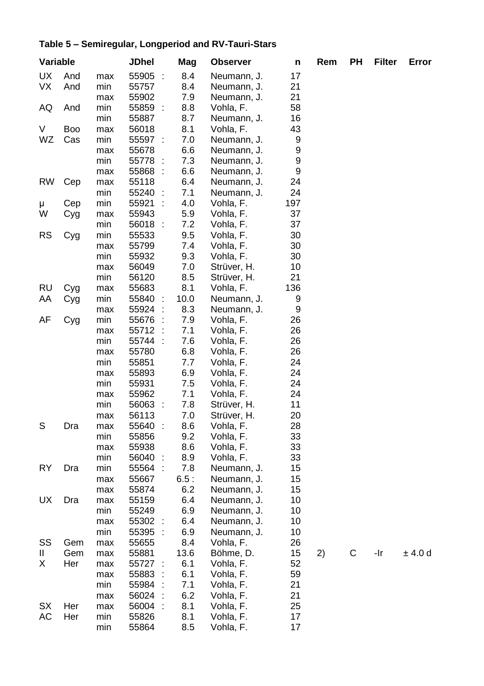# **Table 5 – Semiregular, Longperiod and RV-Tauri-Stars**

| Variable  |     |     | JDhel                         | Mag  | <b>Observer</b> | n        | Rem | PН | <b>Filter</b> | Error  |
|-----------|-----|-----|-------------------------------|------|-----------------|----------|-----|----|---------------|--------|
| <b>UX</b> | And | max | $\bar{\gamma}$<br>55905       | 8.4  | Neumann, J.     | 17       |     |    |               |        |
| VX        | And | min | 55757                         | 8.4  | Neumann, J.     | 21       |     |    |               |        |
|           |     | max | 55902                         | 7.9  | Neumann, J.     | 21       |     |    |               |        |
| AQ        | And | min | 55859<br>$\ddot{\phantom{a}}$ | 8.8  | Vohla, F.       | 58       |     |    |               |        |
|           |     | min | 55887                         | 8.7  | Neumann, J.     | 16       |     |    |               |        |
| V         | Boo | max | 56018                         | 8.1  | Vohla, F.       | 43       |     |    |               |        |
| WZ        | Cas | min | 55597 :                       | 7.0  | Neumann, J.     | 9        |     |    |               |        |
|           |     | max | 55678                         | 6.6  | Neumann, J.     | 9        |     |    |               |        |
|           |     | min | 55778<br>÷                    | 7.3  | Neumann, J.     | 9        |     |    |               |        |
|           |     | max | 55868<br>$\cdot$ :            | 6.6  | Neumann, J.     | 9        |     |    |               |        |
| RW        | Cep | max | 55118                         | 6.4  | Neumann, J.     | 24       |     |    |               |        |
|           |     | min | 55240<br>$\sim$               | 7.1  | Neumann, J.     | 24       |     |    |               |        |
| μ         | Cep | min | 55921                         | 4.0  | Vohla, F.       | 197      |     |    |               |        |
| W         | Cyg | max | 55943                         | 5.9  | Vohla, F.       | 37       |     |    |               |        |
|           |     | min | 56018 :                       | 7.2  | Vohla, F.       | 37       |     |    |               |        |
| RS        | Cyg | min | 55533                         | 9.5  | Vohla, F.       | 30       |     |    |               |        |
|           |     | max | 55799                         | 7.4  | Vohla, F.       | 30       |     |    |               |        |
|           |     | min | 55932                         | 9.3  | Vohla, F.       | 30       |     |    |               |        |
|           |     | max | 56049                         | 7.0  | Strüver, H.     | 10       |     |    |               |        |
|           |     | min | 56120                         | 8.5  | Strüver, H.     | 21       |     |    |               |        |
| RU        |     | max | 55683                         | 8.1  | Vohla, F.       | 136      |     |    |               |        |
|           | Cyg | min | 55840 :                       | 10.0 | Neumann, J.     | 9        |     |    |               |        |
| ΑA        | Cyg |     | 55924                         | 8.3  | Neumann, J.     | 9        |     |    |               |        |
|           |     | max |                               |      |                 |          |     |    |               |        |
| AF        | Cyg | min | 55676                         | 7.9  | Vohla, F.       | 26<br>26 |     |    |               |        |
|           |     | max | 55712<br>$\ddot{\phantom{a}}$ | 7.1  | Vohla, F.       |          |     |    |               |        |
|           |     | min | 55744 :                       | 7.6  | Vohla, F.       | 26       |     |    |               |        |
|           |     | max | 55780                         | 6.8  | Vohla, F.       | 26       |     |    |               |        |
|           |     | min | 55851                         | 7.7  | Vohla, F.       | 24       |     |    |               |        |
|           |     | max | 55893                         | 6.9  | Vohla, F.       | 24       |     |    |               |        |
|           |     | min | 55931                         | 7.5  | Vohla, F.       | 24       |     |    |               |        |
|           |     | max | 55962                         | 7.1  | Vohla, F.       | 24       |     |    |               |        |
|           |     | min | 56063 :                       | 7.8  | Strüver, H.     | 11       |     |    |               |        |
|           |     | max | 56113                         | 7.0  | Strüver, H.     | 20       |     |    |               |        |
| S         | Dra | max | 55640 :                       | 8.6  | Vohla, F.       | 28       |     |    |               |        |
|           |     | min | 55856                         | 9.2  | Vohla, F.       | 33       |     |    |               |        |
|           |     | max | 55938                         | 8.6  | Vohla, F.       | 33       |     |    |               |        |
|           |     | min | 56040<br>$\cdot$              | 8.9  | Vohla, F.       | 33       |     |    |               |        |
| RY        | Dra | min | 55564<br>$\cdot$ :            | 7.8  | Neumann, J.     | 15       |     |    |               |        |
|           |     | max | 55667                         | 6.5: | Neumann, J.     | 15       |     |    |               |        |
|           |     | max | 55874                         | 6.2  | Neumann, J.     | 15       |     |    |               |        |
| UX        | Dra | max | 55159                         | 6.4  | Neumann, J.     | 10       |     |    |               |        |
|           |     | min | 55249                         | 6.9  | Neumann, J.     | 10       |     |    |               |        |
|           |     | max | 55302<br>$\sim$               | 6.4  | Neumann, J.     | 10       |     |    |               |        |
|           |     | min | 55395<br>÷                    | 6.9  | Neumann, J.     | 10       |     |    |               |        |
| SS        | Gem | max | 55655                         | 8.4  | Vohla, F.       | 26       |     |    |               |        |
| Ш         | Gem | max | 55881                         | 13.6 | Böhme, D.       | 15       | 2)  | C  | -Ir           | ± 4.0d |
| Χ         | Her | max | 55727                         | 6.1  | Vohla, F.       | 52       |     |    |               |        |
|           |     | max | 55883                         | 6.1  | Vohla, F.       | 59       |     |    |               |        |
|           |     | min | 55984<br>$\ddot{\phantom{a}}$ | 7.1  | Vohla, F.       | 21       |     |    |               |        |
|           |     | max | 56024<br>÷                    | 6.2  | Vohla, F.       | 21       |     |    |               |        |
| SX        | Her | max | 56004<br>$\ddot{\phantom{a}}$ | 8.1  | Vohla, F.       | 25       |     |    |               |        |
| АC        | Her | min | 55826                         | 8.1  | Vohla, F.       | 17       |     |    |               |        |
|           |     | min | 55864                         | 8.5  | Vohla, F.       | 17       |     |    |               |        |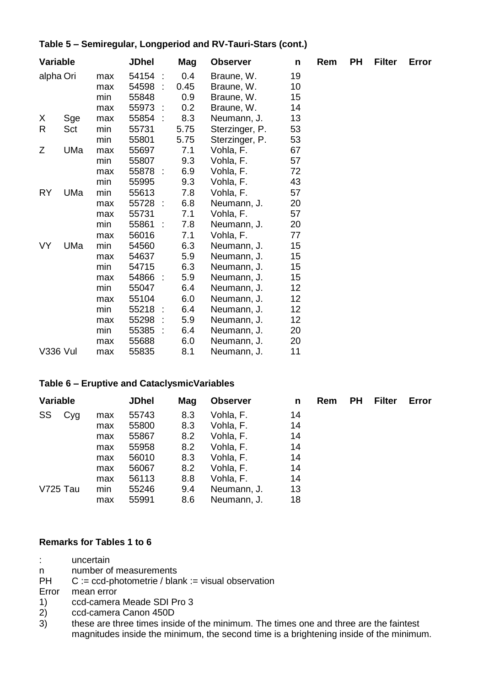### **Table 5 – Semiregular, Longperiod and RV-Tauri-Stars (cont.)**

| Variable  |     |     | <b>JDhel</b>      | Mag  | <b>Observer</b> | n  | Rem | PН | <b>Filter</b> | Error |
|-----------|-----|-----|-------------------|------|-----------------|----|-----|----|---------------|-------|
| alpha Ori |     | max | 54154 :           | 0.4  | Braune, W.      | 19 |     |    |               |       |
|           |     | max | 54598 :           | 0.45 | Braune, W.      | 10 |     |    |               |       |
|           |     | min | 55848             | 0.9  | Braune, W.      | 15 |     |    |               |       |
|           |     | max | 55973 :           | 0.2  | Braune, W.      | 14 |     |    |               |       |
| X         | Sge | max | 55854 :           | 8.3  | Neumann, J.     | 13 |     |    |               |       |
| R         | Sct | min | 55731             | 5.75 | Sterzinger, P.  | 53 |     |    |               |       |
|           |     | min | 55801             | 5.75 | Sterzinger, P.  | 53 |     |    |               |       |
| Ζ         | UMa | max | 55697             | 7.1  | Vohla, F.       | 67 |     |    |               |       |
|           |     | min | 55807             | 9.3  | Vohla, F.       | 57 |     |    |               |       |
|           |     | max | 55878 :           | 6.9  | Vohla, F.       | 72 |     |    |               |       |
|           |     | min | 55995             | 9.3  | Vohla, F.       | 43 |     |    |               |       |
| RY        | UMa | min | 55613             | 7.8  | Vohla, F.       | 57 |     |    |               |       |
|           |     | max | 55728 :           | 6.8  | Neumann, J.     | 20 |     |    |               |       |
|           |     | max | 55731             | 7.1  | Vohla, F.       | 57 |     |    |               |       |
|           |     | min | 55861<br>$\sim$ 1 | 7.8  | Neumann, J.     | 20 |     |    |               |       |
|           |     | max | 56016             | 7.1  | Vohla, F.       | 77 |     |    |               |       |
| VY        | UMa | min | 54560             | 6.3  | Neumann, J.     | 15 |     |    |               |       |
|           |     | max | 54637             | 5.9  | Neumann, J.     | 15 |     |    |               |       |
|           |     | min | 54715             | 6.3  | Neumann, J.     | 15 |     |    |               |       |
|           |     | max | 54866 :           | 5.9  | Neumann, J.     | 15 |     |    |               |       |
|           |     | min | 55047             | 6.4  | Neumann, J.     | 12 |     |    |               |       |
|           |     | max | 55104             | 6.0  | Neumann, J.     | 12 |     |    |               |       |
|           |     | min | 55218:            | 6.4  | Neumann, J.     | 12 |     |    |               |       |
|           |     | max | 55298 :           | 5.9  | Neumann, J.     | 12 |     |    |               |       |
|           |     | min | 55385 :           | 6.4  | Neumann, J.     | 20 |     |    |               |       |
|           |     | max | 55688             | 6.0  | Neumann, J.     | 20 |     |    |               |       |
| V336 Vul  |     | max | 55835             | 8.1  | Neumann, J.     | 11 |     |    |               |       |

#### **Table 6 – Eruptive and CataclysmicVariables**

| Variable |     |     | <b>JDhel</b> | Mag | <b>Observer</b> | n  | Rem | PН | Filter | Error |
|----------|-----|-----|--------------|-----|-----------------|----|-----|----|--------|-------|
| SS       | Cyg | max | 55743        | 8.3 | Vohla, F.       | 14 |     |    |        |       |
|          |     | max | 55800        | 8.3 | Vohla, F.       | 14 |     |    |        |       |
|          |     | max | 55867        | 8.2 | Vohla, F.       | 14 |     |    |        |       |
|          |     | max | 55958        | 8.2 | Vohla, F.       | 14 |     |    |        |       |
|          |     | max | 56010        | 8.3 | Vohla, F.       | 14 |     |    |        |       |
|          |     | max | 56067        | 8.2 | Vohla, F.       | 14 |     |    |        |       |
|          |     | max | 56113        | 8.8 | Vohla, F.       | 14 |     |    |        |       |
| V725 Tau |     | min | 55246        | 9.4 | Neumann, J.     | 13 |     |    |        |       |
|          |     | max | 55991        | 8.6 | Neumann. J.     | 18 |     |    |        |       |

### **Remarks for Tables 1 to 6**

: uncertain

n number of measurements

PH C := ccd-photometrie / blank := visual observation

Error mean error

- 1) ccd-camera Meade SDI Pro 3
- $2)$  ccd-camera Canon 450D<br>3) these are three times insident
- these are three times inside of the minimum. The times one and three are the faintest magnitudes inside the minimum, the second time is a brightening inside of the minimum.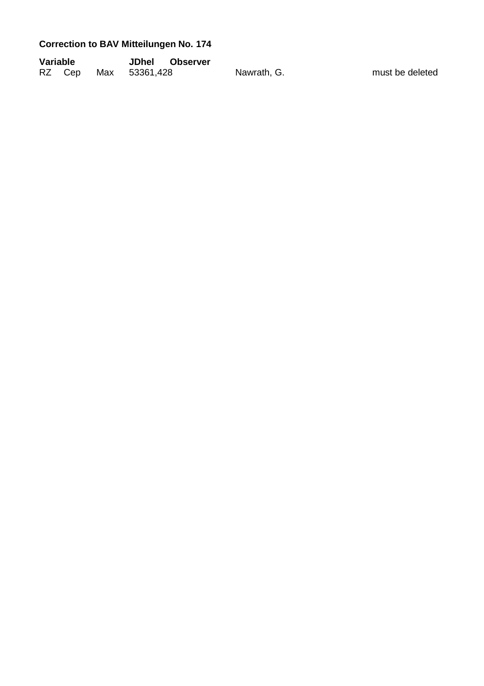# **Correction to BAV Mitteilungen No. 174**

| Variable |  | JDhel Observer       |             |                 |
|----------|--|----------------------|-------------|-----------------|
|          |  | RZ Cep Max 53361,428 | Nawrath, G. | must be deleted |